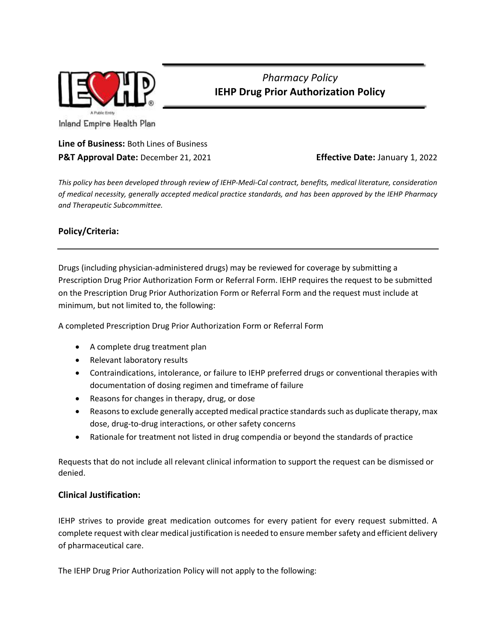

## *Pharmacy Policy* **IEHP Drug Prior Authorization Policy**

Inland Empire Health Plan

## **Line of Business:** Both Lines of Business **P&T Approval Date:** December 21, 2021 **Effective Date:** January 1, 2022

*This policy has been developed through review of IEHP-Medi-Cal contract, benefits, medical literature, consideration of medical necessity, generally accepted medical practice standards, and has been approved by the IEHP Pharmacy and Therapeutic Subcommittee.*

## **Policy/Criteria:**

Drugs (including physician-administered drugs) may be reviewed for coverage by submitting a Prescription Drug Prior Authorization Form or Referral Form. IEHP requires the request to be submitted on the Prescription Drug Prior Authorization Form or Referral Form and the request must include at minimum, but not limited to, the following:

A completed Prescription Drug Prior Authorization Form or Referral Form

- A complete drug treatment plan
- Relevant laboratory results
- Contraindications, intolerance, or failure to IEHP preferred drugs or conventional therapies with documentation of dosing regimen and timeframe of failure
- Reasons for changes in therapy, drug, or dose
- Reasons to exclude generally accepted medical practice standards such as duplicate therapy, max dose, drug-to-drug interactions, or other safety concerns
- Rationale for treatment not listed in drug compendia or beyond the standards of practice

Requests that do not include all relevant clinical information to support the request can be dismissed or denied.

## **Clinical Justification:**

IEHP strives to provide great medication outcomes for every patient for every request submitted. A complete request with clear medical justification is needed to ensure member safety and efficient delivery of pharmaceutical care.

The IEHP Drug Prior Authorization Policy will not apply to the following: